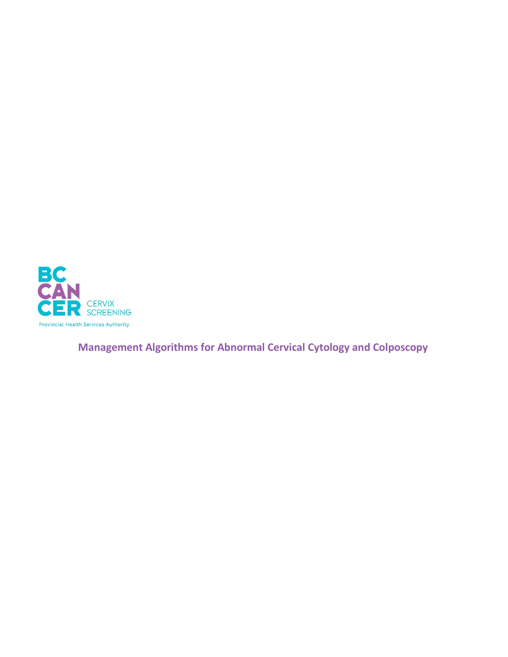

**Management Algorithms for Abnormal Cervical Cytology and Colposcopy**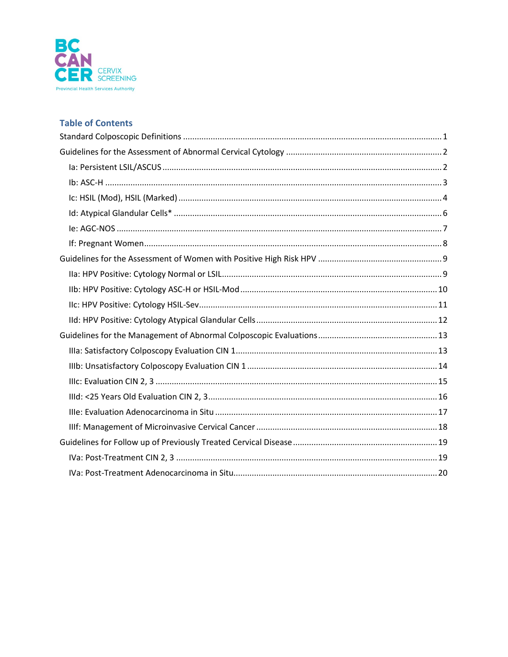

## **Table of Contents**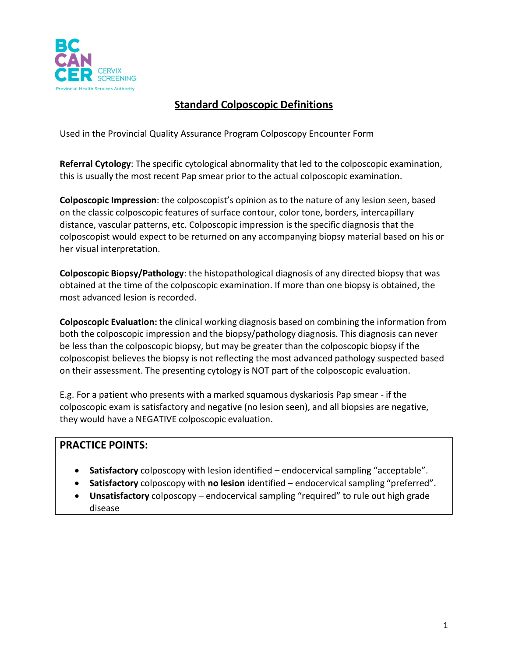

# **Standard Colposcopic Definitions**

<span id="page-2-0"></span>Used in the Provincial Quality Assurance Program Colposcopy Encounter Form

**Referral Cytology**: The specific cytological abnormality that led to the colposcopic examination, this is usually the most recent Pap smear prior to the actual colposcopic examination.

**Colposcopic Impression**: the colposcopist's opinion as to the nature of any lesion seen, based on the classic colposcopic features of surface contour, color tone, borders, intercapillary distance, vascular patterns, etc. Colposcopic impression is the specific diagnosis that the colposcopist would expect to be returned on any accompanying biopsy material based on his or her visual interpretation.

**Colposcopic Biopsy/Pathology**: the histopathological diagnosis of any directed biopsy that was obtained at the time of the colposcopic examination. If more than one biopsy is obtained, the most advanced lesion is recorded.

**Colposcopic Evaluation:** the clinical working diagnosis based on combining the information from both the colposcopic impression and the biopsy/pathology diagnosis. This diagnosis can never be less than the colposcopic biopsy, but may be greater than the colposcopic biopsy if the colposcopist believes the biopsy is not reflecting the most advanced pathology suspected based on their assessment. The presenting cytology is NOT part of the colposcopic evaluation.

E.g. For a patient who presents with a marked squamous dyskariosis Pap smear - if the colposcopic exam is satisfactory and negative (no lesion seen), and all biopsies are negative, they would have a NEGATIVE colposcopic evaluation.

- **Satisfactory** colposcopy with lesion identified endocervical sampling "acceptable".
- **Satisfactory** colposcopy with **no lesion** identified endocervical sampling "preferred".
- **Unsatisfactory** colposcopy endocervical sampling "required" to rule out high grade disease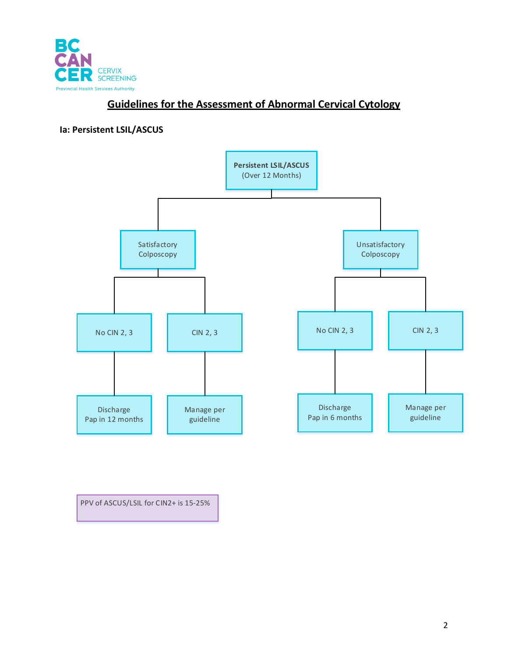

# **Guidelines for the Assessment of Abnormal Cervical Cytology**

#### <span id="page-3-1"></span><span id="page-3-0"></span>**Ia: Persistent LSIL/ASCUS**



PPV of ASCUS/LSIL for CIN2+ is 15-25%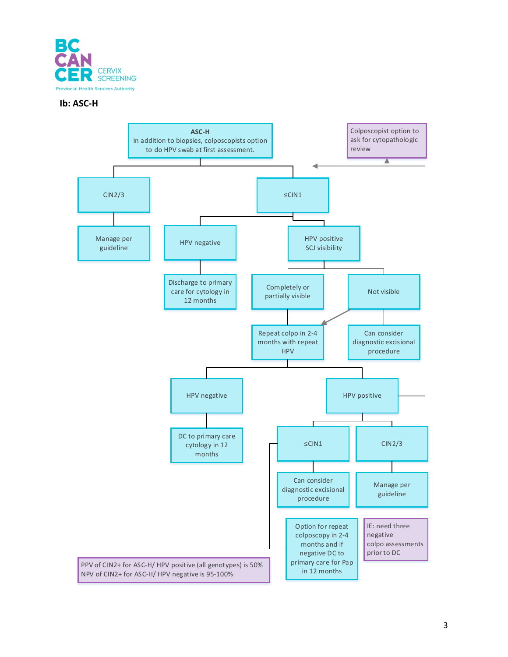

#### <span id="page-4-0"></span>**Ib: ASC-H**

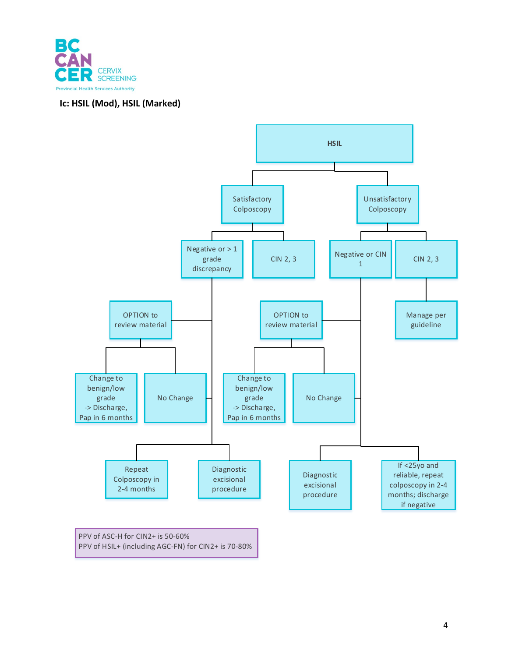

### <span id="page-5-0"></span>**Ic: HSIL (Mod), HSIL (Marked)**



PPV of HSIL+ (including AGC-FN) for CIN2+ is 70-80%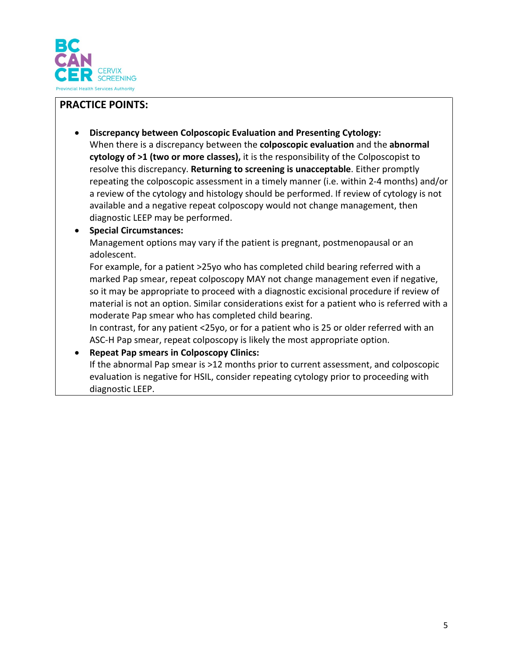

## **PRACTICE POINTS:**

• **Discrepancy between Colposcopic Evaluation and Presenting Cytology:** When there is a discrepancy between the **colposcopic evaluation** and the **abnormal cytology of >1 (two or more classes),** it is the responsibility of the Colposcopist to resolve this discrepancy. **Returning to screening is unacceptable**. Either promptly repeating the colposcopic assessment in a timely manner (i.e. within 2-4 months) and/or a review of the cytology and histology should be performed. If review of cytology is not available and a negative repeat colposcopy would not change management, then diagnostic LEEP may be performed.

### • **Special Circumstances:**

Management options may vary if the patient is pregnant, postmenopausal or an adolescent.

For example, for a patient >25yo who has completed child bearing referred with a marked Pap smear, repeat colposcopy MAY not change management even if negative, so it may be appropriate to proceed with a diagnostic excisional procedure if review of material is not an option. Similar considerations exist for a patient who is referred with a moderate Pap smear who has completed child bearing.

In contrast, for any patient <25yo, or for a patient who is 25 or older referred with an ASC-H Pap smear, repeat colposcopy is likely the most appropriate option.

### • **Repeat Pap smears in Colposcopy Clinics:**

If the abnormal Pap smear is >12 months prior to current assessment, and colposcopic evaluation is negative for HSIL, consider repeating cytology prior to proceeding with diagnostic LEEP.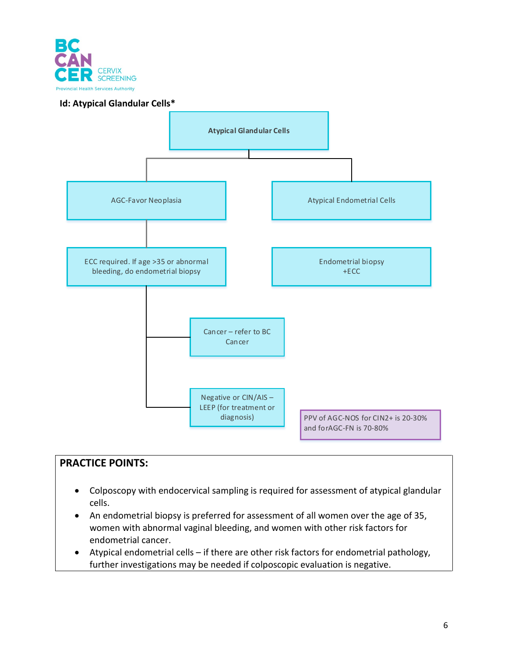

#### <span id="page-7-0"></span>**Id: Atypical Glandular Cells\***



- Colposcopy with endocervical sampling is required for assessment of atypical glandular cells.
- An endometrial biopsy is preferred for assessment of all women over the age of 35, women with abnormal vaginal bleeding, and women with other risk factors for endometrial cancer.
- Atypical endometrial cells if there are other risk factors for endometrial pathology, further investigations may be needed if colposcopic evaluation is negative.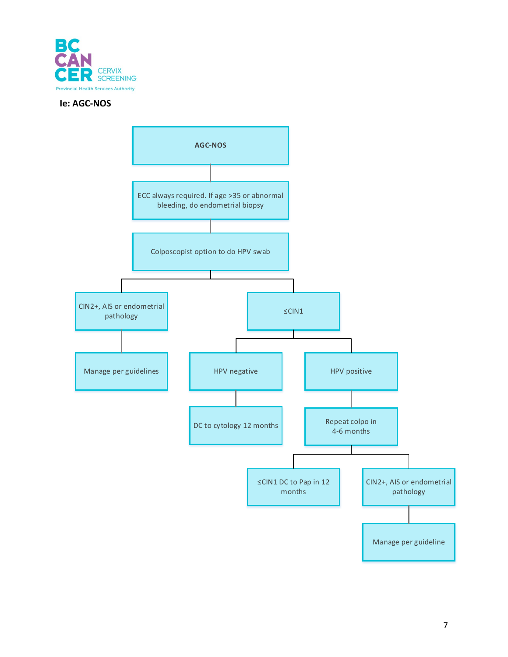

#### <span id="page-8-0"></span>**Ie: AGC-NOS**

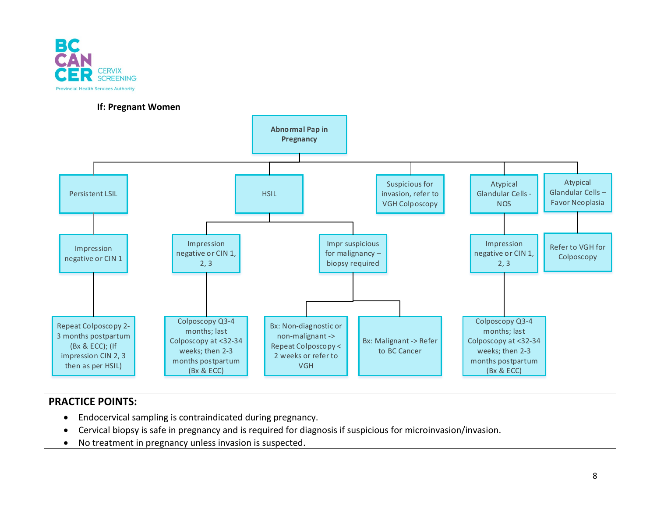

#### **If: Pregnant Women**

<span id="page-9-0"></span>

- Endocervical sampling is contraindicated during pregnancy.
- Cervical biopsy is safe in pregnancy and is required for diagnosis if suspicious for microinvasion/invasion.
- No treatment in pregnancy unless invasion is suspected.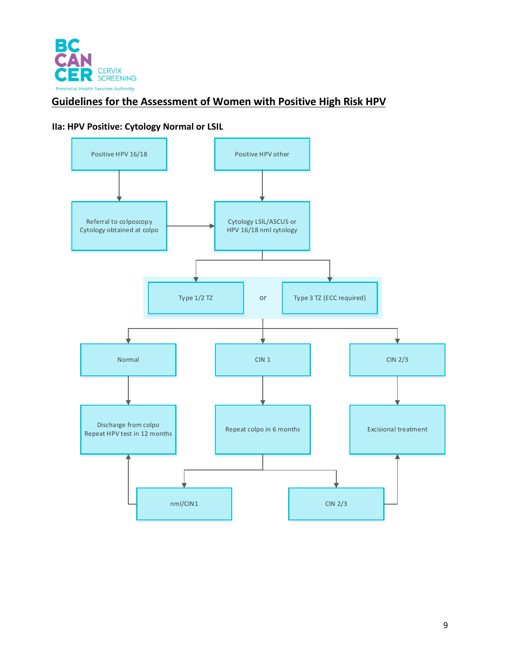<span id="page-10-0"></span>

# <span id="page-10-1"></span>**Guidelines for the Assessment of Women with Positive High Risk HPV**

#### **IIa: HPV Positive: Cytology Normal or LSIL**

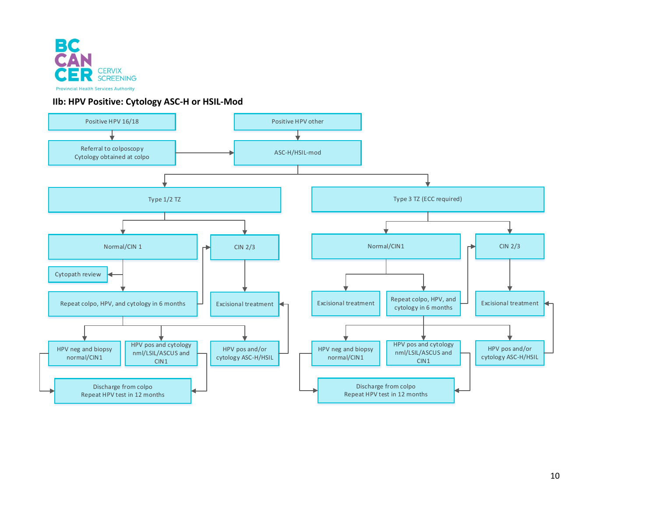

#### **IIb: HPV Positive: Cytology ASC-H or HSIL-Mod**

<span id="page-11-0"></span>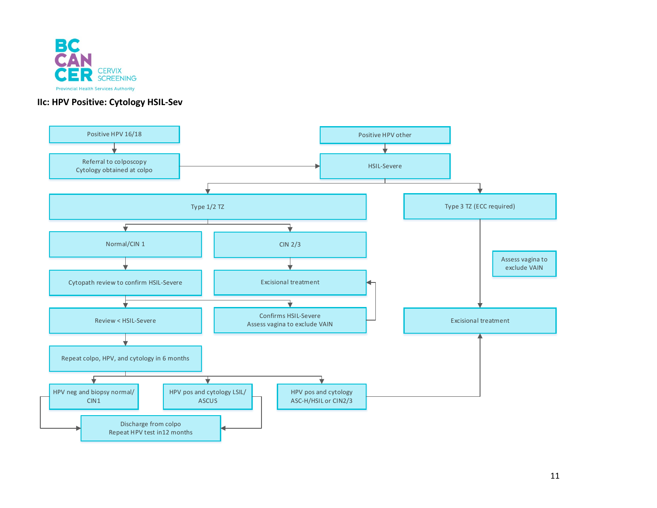

#### **IIc: HPV Positive: Cytology HSIL-Sev**

<span id="page-12-0"></span>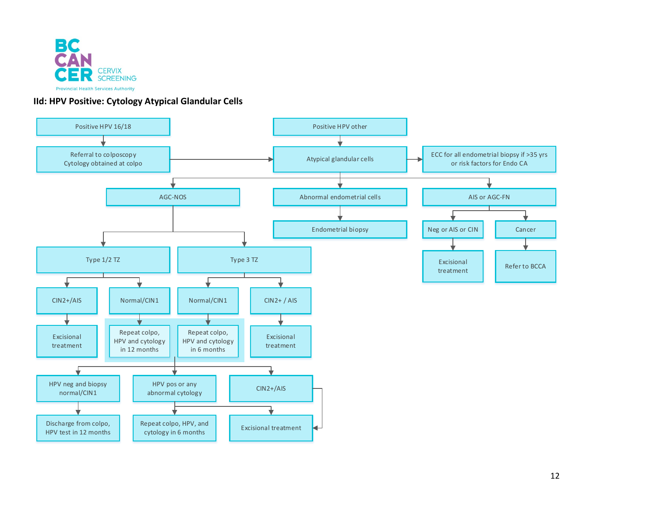

#### **IId: HPV Positive: Cytology Atypical Glandular Cells**

<span id="page-13-0"></span>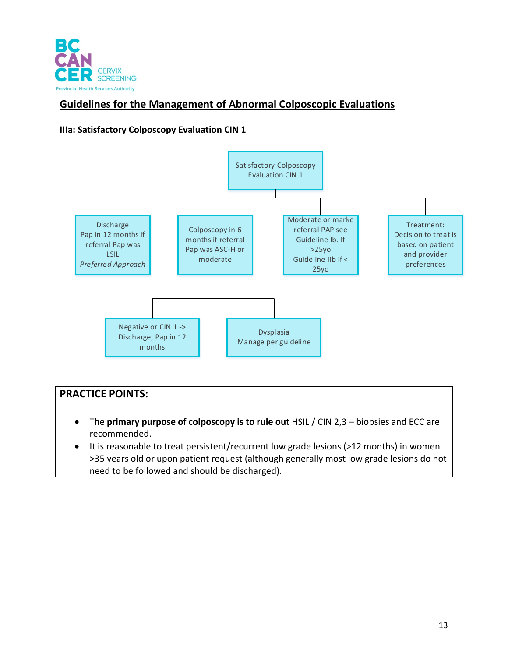

# <span id="page-14-0"></span>**Guidelines for the Management of Abnormal Colposcopic Evaluations**

#### <span id="page-14-1"></span>**IIIa: Satisfactory Colposcopy Evaluation CIN 1**



- The **primary purpose of colposcopy is to rule out** HSIL / CIN 2,3 biopsies and ECC are recommended.
- It is reasonable to treat persistent/recurrent low grade lesions (>12 months) in women >35 years old or upon patient request (although generally most low grade lesions do not need to be followed and should be discharged).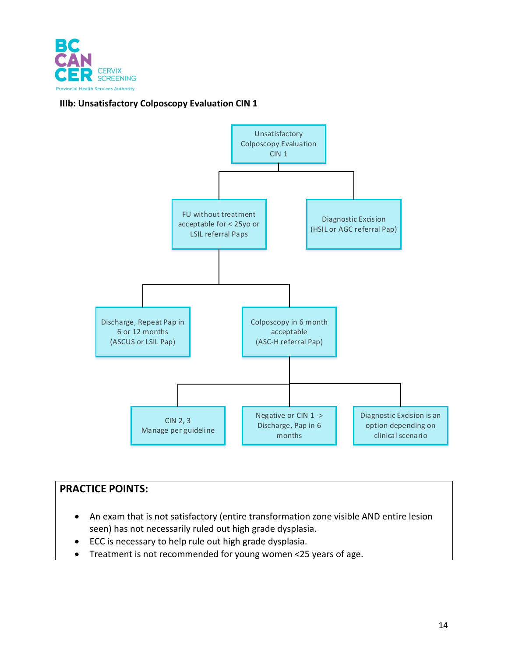

#### <span id="page-15-0"></span>**IIIb: Unsatisfactory Colposcopy Evaluation CIN 1**



- An exam that is not satisfactory (entire transformation zone visible AND entire lesion seen) has not necessarily ruled out high grade dysplasia.
- ECC is necessary to help rule out high grade dysplasia.
- Treatment is not recommended for young women <25 years of age.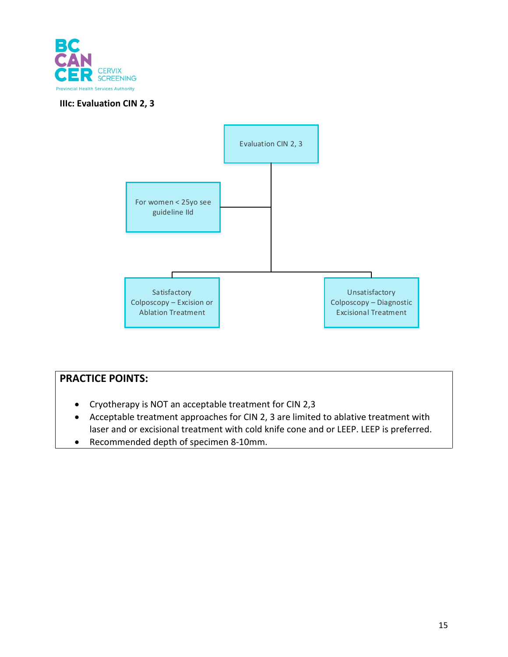

#### <span id="page-16-0"></span>**IIIc: Evaluation CIN 2, 3**



- Cryotherapy is NOT an acceptable treatment for CIN 2,3
- Acceptable treatment approaches for CIN 2, 3 are limited to ablative treatment with laser and or excisional treatment with cold knife cone and or LEEP. LEEP is preferred.
- Recommended depth of specimen 8-10mm.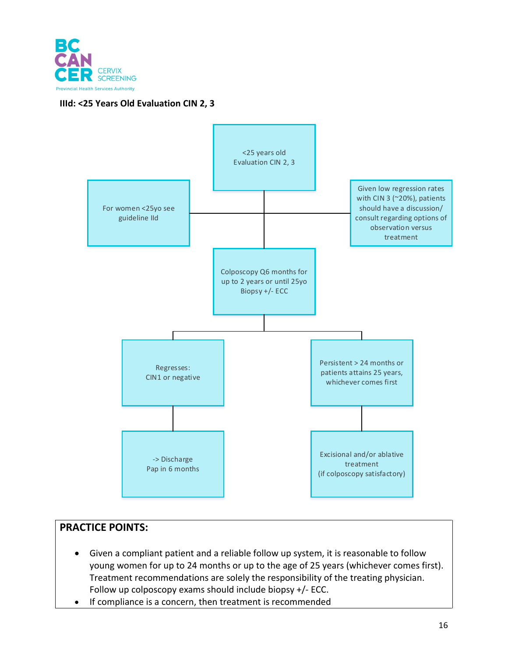

### <span id="page-17-0"></span>**IIId: <25 Years Old Evaluation CIN 2, 3**



- Given a compliant patient and a reliable follow up system, it is reasonable to follow young women for up to 24 months or up to the age of 25 years (whichever comes first). Treatment recommendations are solely the responsibility of the treating physician. Follow up colposcopy exams should include biopsy +/- ECC.
- If compliance is a concern, then treatment is recommended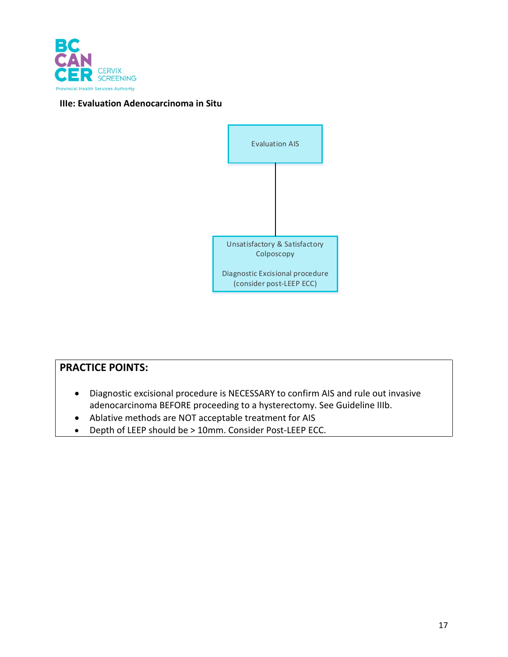

#### <span id="page-18-0"></span>**IIIe: Evaluation Adenocarcinoma in Situ**



- Diagnostic excisional procedure is NECESSARY to confirm AIS and rule out invasive adenocarcinoma BEFORE proceeding to a hysterectomy. See Guideline IIIb.
- Ablative methods are NOT acceptable treatment for AIS
- Depth of LEEP should be > 10mm. Consider Post-LEEP ECC.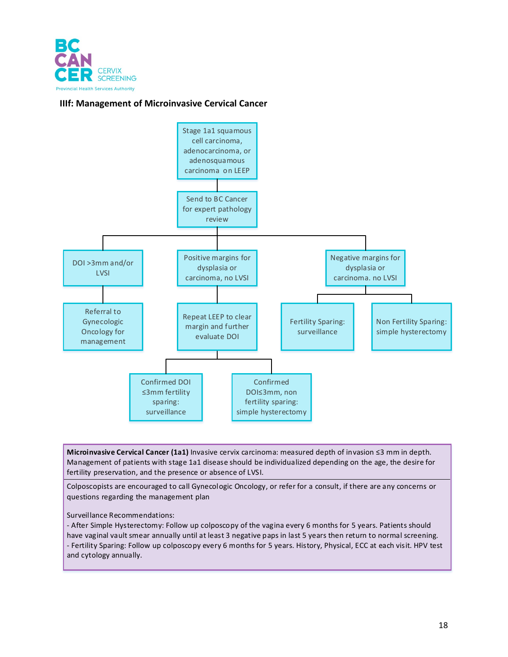

#### <span id="page-19-0"></span>**IIIf: Management of Microinvasive Cervical Cancer**



**Microinvasive Cervical Cancer (1a1)** Invasive cervix carcinoma: measured depth of invasion ≤3 mm in depth. Management of patients with stage 1a1 disease should be individualized depending on the age, the desire for fertility preservation, and the presence or absence of LVSI.

Colposcopists are encouraged to call Gynecologic Oncology, or refer for a consult, if there are any concerns or questions regarding the management plan

Surveillance Recommendations:

- After Simple Hysterectomy: Follow up colposcopy of the vagina every 6 months for 5 years. Patients should have vaginal vault smear annually until at least 3 negative paps in last 5 years then return to normal screening. - Fertility Sparing: Follow up colposcopy every 6 months for 5 years. History, Physical, ECC at each visit. HPV test and cytology annually.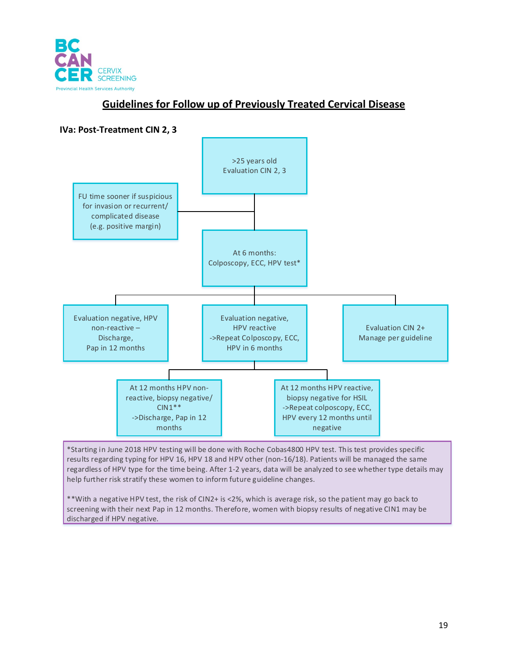

# **Guidelines for Follow up of Previously Treated Cervical Disease**

<span id="page-20-1"></span><span id="page-20-0"></span>

\*Starting in June 2018 HPV testing will be done with Roche Cobas4800 HPV test. This test provides specific results regarding typing for HPV 16, HPV 18 and HPV other (non-16/18). Patients will be managed the same regardless of HPV type for the time being. After 1-2 years, data will be analyzed to see whether type details may help further risk stratify these women to inform future guideline changes.

\*\*With a negative HPV test, the risk of CIN2+ is <2%, which is average risk, so the patient may go back to screening with their next Pap in 12 months. Therefore, women with biopsy results of negative CIN1 may be discharged if HPV negative.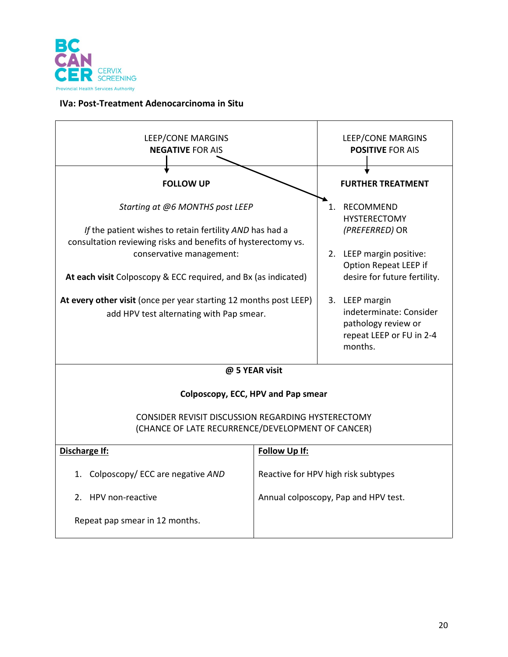

#### <span id="page-21-0"></span>**IVa: Post-Treatment Adenocarcinoma in Situ**